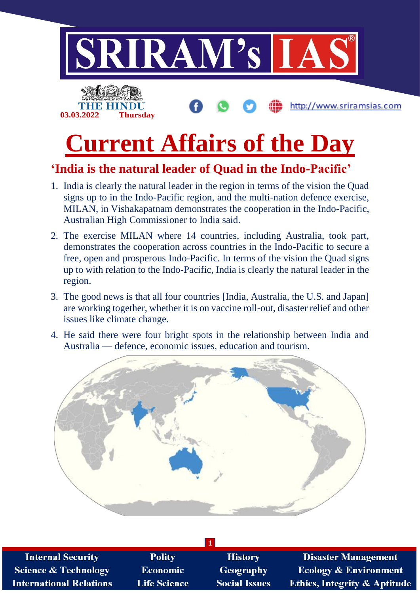

### **'India is the natural leader of Quad in the Indo-Pacific'**

- 1. India is clearly the natural leader in the region in terms of the vision the Quad signs up to in the Indo-Pacific region, and the multi-nation defence exercise, MILAN, in Vishakapatnam demonstrates the cooperation in the Indo-Pacific, Australian High Commissioner to India said.
- 2. The exercise MILAN where 14 countries, including Australia, took part, demonstrates the cooperation across countries in the Indo-Pacific to secure a free, open and prosperous Indo-Pacific. In terms of the vision the Quad signs up to with relation to the Indo-Pacific, India is clearly the natural leader in the region.
- 3. The good news is that all four countries [India, Australia, the U.S. and Japan] are working together, whether it is on vaccine roll-out, disaster relief and other issues like climate change.
- 4. He said there were four bright spots in the relationship between India and Australia — defence, economic issues, education and tourism.



| <b>Internal Security</b>       | <b>Polity</b>       | <b>History</b>       | <b>Disaster Management</b>              |  |  |
|--------------------------------|---------------------|----------------------|-----------------------------------------|--|--|
| Science & Technology           | <b>Economic</b>     | <b>Geography</b>     | <b>Ecology &amp; Environment</b>        |  |  |
| <b>International Relations</b> | <b>Life Science</b> | <b>Social Issues</b> | <b>Ethics, Integrity &amp; Aptitude</b> |  |  |
|                                |                     |                      |                                         |  |  |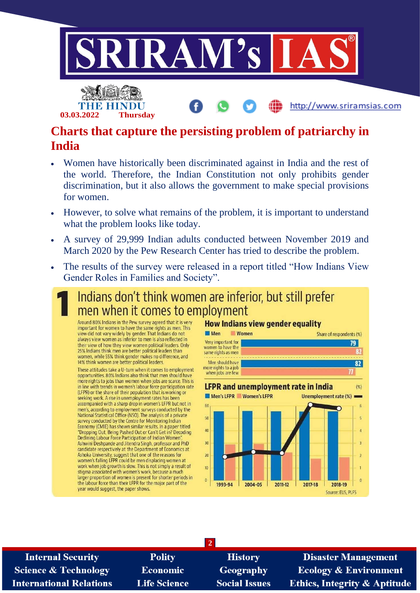



### **Charts that capture the persisting problem of patriarchy in India**

- Women have historically been discriminated against in India and the rest of the world. Therefore, the Indian Constitution not only prohibits gender discrimination, but it also allows the government to make special provisions for women.
- However, to solve what remains of the problem, it is important to understand what the problem looks like today.
- A survey of 29,999 Indian adults conducted between November 2019 and March 2020 by the Pew Research Center has tried to describe the problem.
- The results of the survey were released in a report titled "How Indians View Gender Roles in Families and Society".

## Indians don't think women are inferior, but still prefer men when it comes to employment

Around 80% Indians in the Pew survey agreed that it is very important for women to have the same rights as men. This view did not vary widely by gender. That Indians do not always view women as inferior to men is also reflected in their view of how they view women political leaders. Only 25% Indians think men are better political leaders than women, while 55% think gender makes no difference, and 14% think women are better political leaders.

These attitudes take a U-turn when it comes to employment opportunities. 80% Indians also think that men should have more rights to jobs than women when jobs are scarce. This is in line with trends in women's labour force participation rate (LFPR) or the share of their population that is working or<br>seeking work. A rise in unemployment rates has been accompanied with a sharp drop in women's LFPR but not in men's, according to employment surveys conducted by the National Statistical Office (NSO). The analysis of a private survey conducted by the Centre for Monitoring Indian Economy (CMIE) has shown similar results. In a paper titled "Dropping Out, Being Pushed Out or Can't Get in? Decoding<br>Declining Labour Force Participation of Indian Women", Deciming Labour Force Participation of Indian Women,<br>Ashwini Deshpande and Jitendra Singh, professor and PhD<br>Candidate respectively at the Department of Economics at Ashoka University, suggest that one of the reasons for women's falling LFPR could be men displacing women at work when job growth is slow. This is not simply a result of stigma associated with women's work, because a much larger proportion of women is present for shorter periods in the labour force than their LFPR for the major part of the year would suggest, the paper shows.

#### **How Indians view gender equality**



**Internal Security Science & Technology International Relations** 

**Polity Economic Life Science** 

**History** Geography **Social Issues** 

**2**

**Disaster Management Ecology & Environment** Ethics, Integrity & Aptitude

http://www.sriramsias.com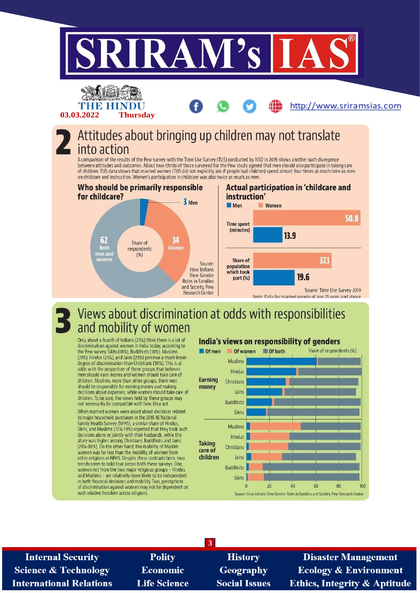

**Internal Security Science & Technology International Relations** 

**Polity Economic Life Science** 

**History** Geography **Social Issues** 

**Disaster Management Ecology & Environment Ethics, Integrity & Aptitude**